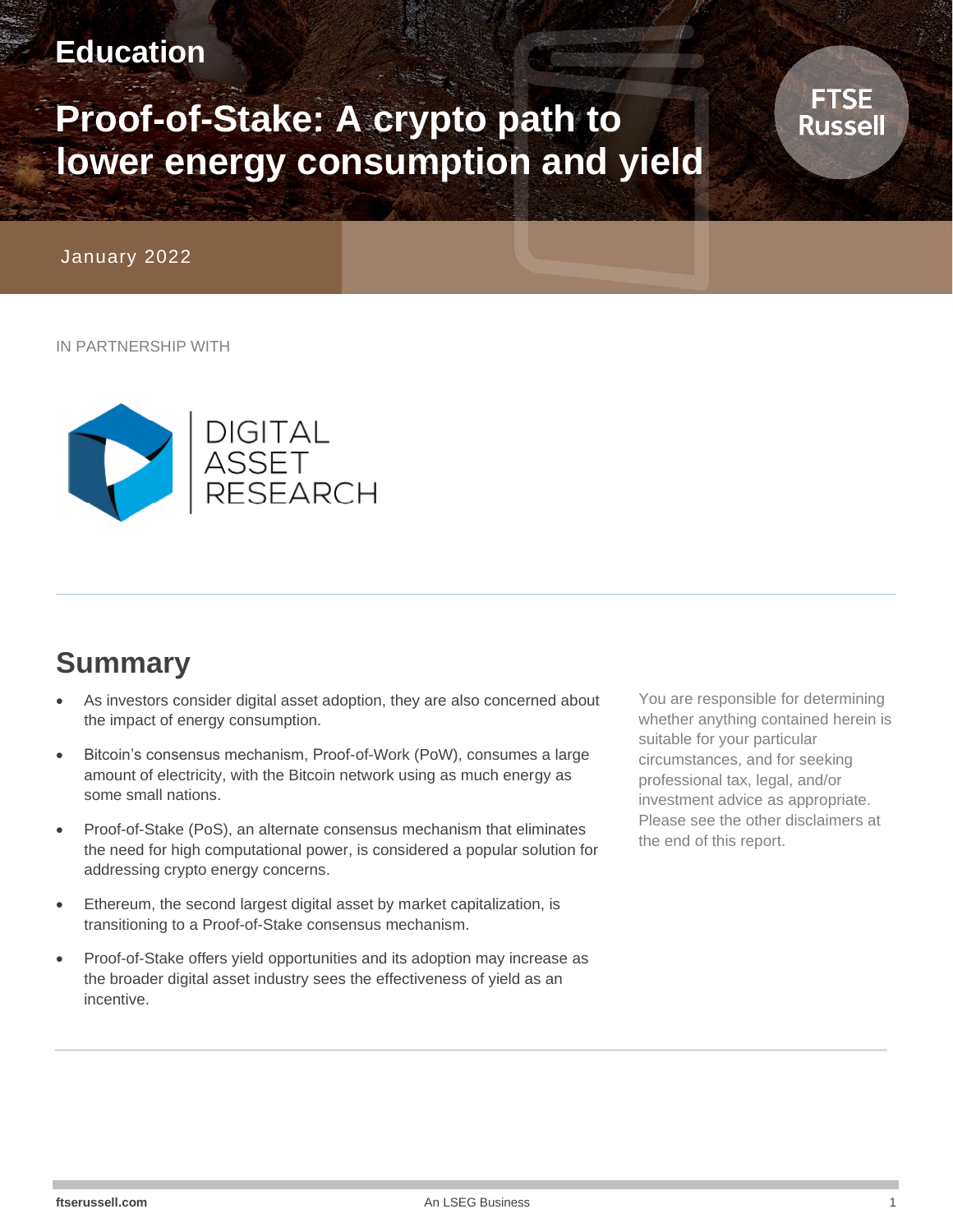### **Education**

# **Proof-of-Stake: A crypto path to lower energy consumption and yield**

January 2022

IN PARTNERSHIP WITH



## **Summary**

- As investors consider digital asset adoption, they are also concerned about the impact of energy consumption.
- Bitcoin's consensus mechanism, Proof-of-Work (PoW), consumes a large amount of electricity, with the Bitcoin network using as much energy as some small nations.
- Proof-of-Stake (PoS), an alternate consensus mechanism that eliminates the need for high computational power, is considered a popular solution for addressing crypto energy concerns.
- Ethereum, the second largest digital asset by market capitalization, is transitioning to a Proof-of-Stake consensus mechanism.
- Proof-of-Stake offers yield opportunities and its adoption may increase as the broader digital asset industry sees the effectiveness of yield as an incentive.

You are responsible for determining whether anything contained herein is suitable for your particular circumstances, and for seeking professional tax, legal, and/or investment advice as appropriate. Please see the other disclaimers at the end of this report.

**FTSE Russell**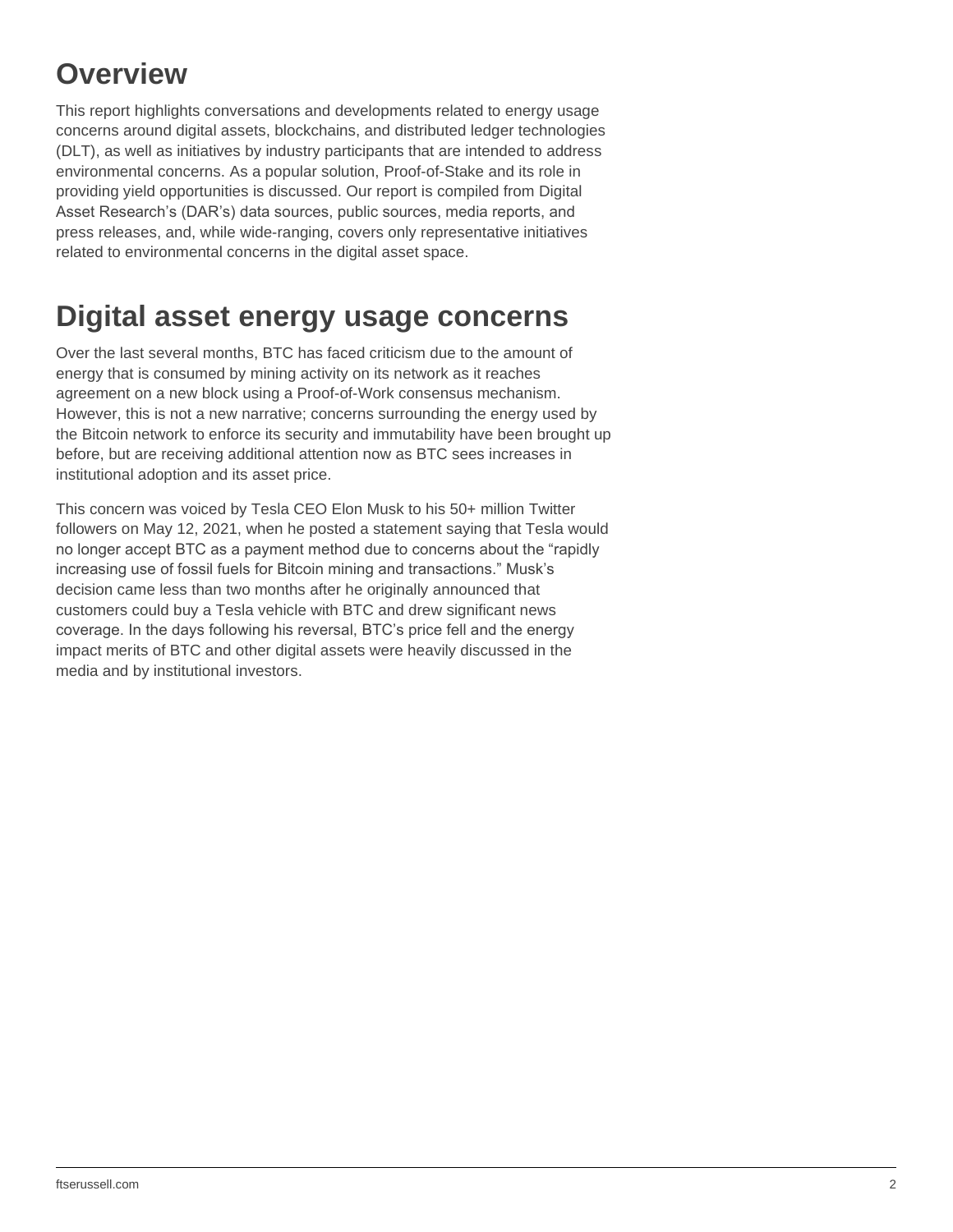## **Overview**

This report highlights conversations and developments related to energy usage concerns around digital assets, blockchains, and distributed ledger technologies (DLT), as well as initiatives by industry participants that are intended to address environmental concerns. As a popular solution, Proof-of-Stake and its role in providing yield opportunities is discussed. Our report is compiled from Digital Asset Research's (DAR's) data sources, public sources, media reports, and press releases, and, while wide-ranging, covers only representative initiatives related to environmental concerns in the digital asset space.

### **Digital asset energy usage concerns**

Over the last several months, BTC has faced criticism due to the amount of energy that is consumed by mining activity on its network as it reaches agreement on a new block using a Proof-of-Work consensus mechanism. However, this is not a new narrative; concerns surrounding the energy used by the Bitcoin network to enforce its security and immutability have been brought up before, but are receiving additional attention now as BTC sees increases in institutional adoption and its asset price.

This concern was voiced by Tesla CEO Elon Musk to his 50+ million Twitter followers on May 12, 2021, when he posted a statement saying that Tesla would no longer accept BTC as a payment method due to concerns about the "rapidly increasing use of fossil fuels for Bitcoin mining and transactions." Musk's decision came less than two months after he originally announced that customers could buy a Tesla vehicle with BTC and drew significant news coverage. In the days following his reversal, BTC's price fell and the energy impact merits of BTC and other digital assets were heavily discussed in the media and by institutional investors.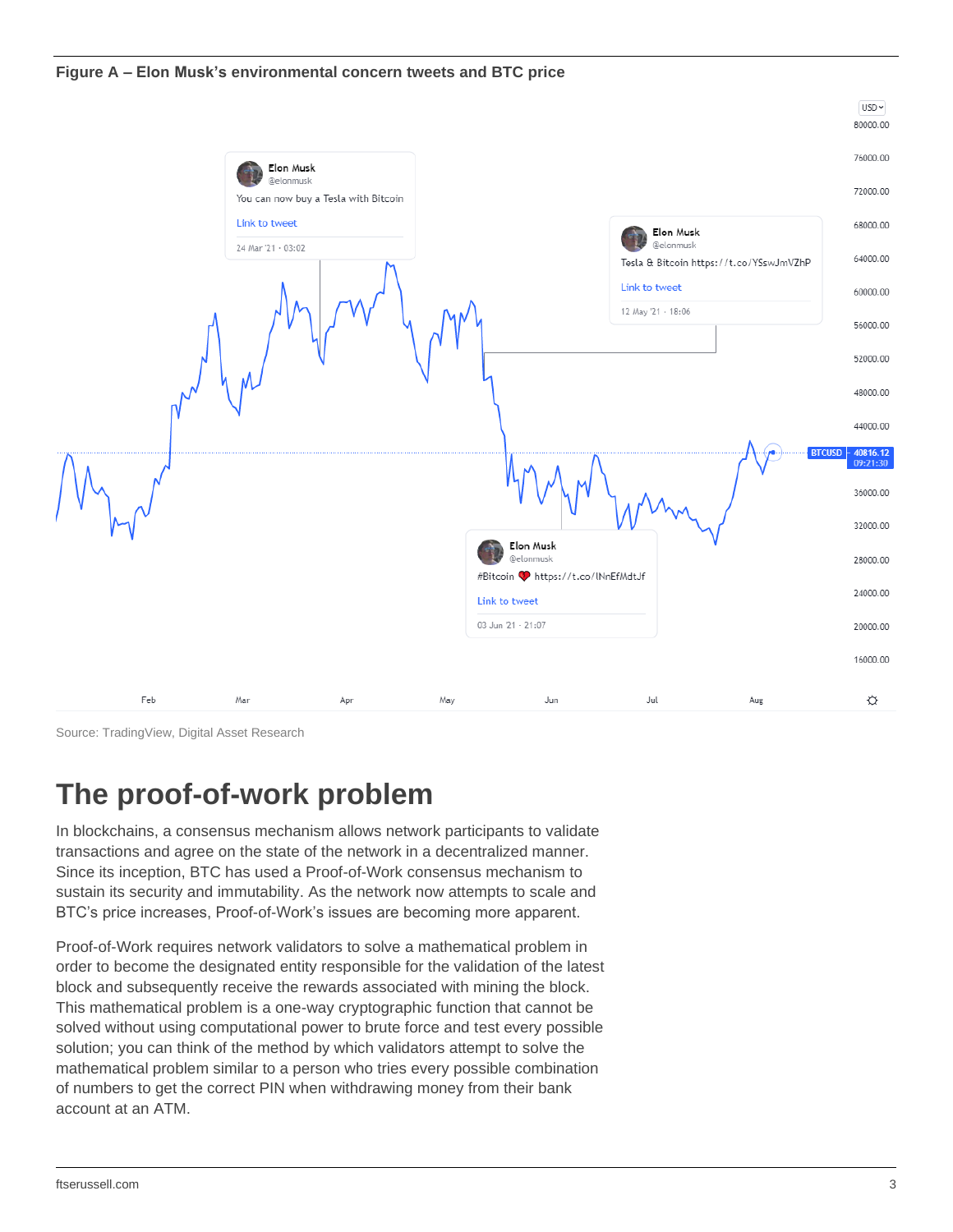



Source: TradingView, Digital Asset Research

### **The proof-of-work problem**

In blockchains, a consensus mechanism allows network participants to validate transactions and agree on the state of the network in a decentralized manner. Since its inception, BTC has used a Proof-of-Work consensus mechanism to sustain its security and immutability. As the network now attempts to scale and BTC's price increases, Proof-of-Work's issues are becoming more apparent.

Proof-of-Work requires network validators to solve a mathematical problem in order to become the designated entity responsible for the validation of the latest block and subsequently receive the rewards associated with mining the block. This mathematical problem is a one-way cryptographic function that cannot be solved without using computational power to brute force and test every possible solution; you can think of the method by which validators attempt to solve the mathematical problem similar to a person who tries every possible combination of numbers to get the correct PIN when withdrawing money from their bank account at an ATM.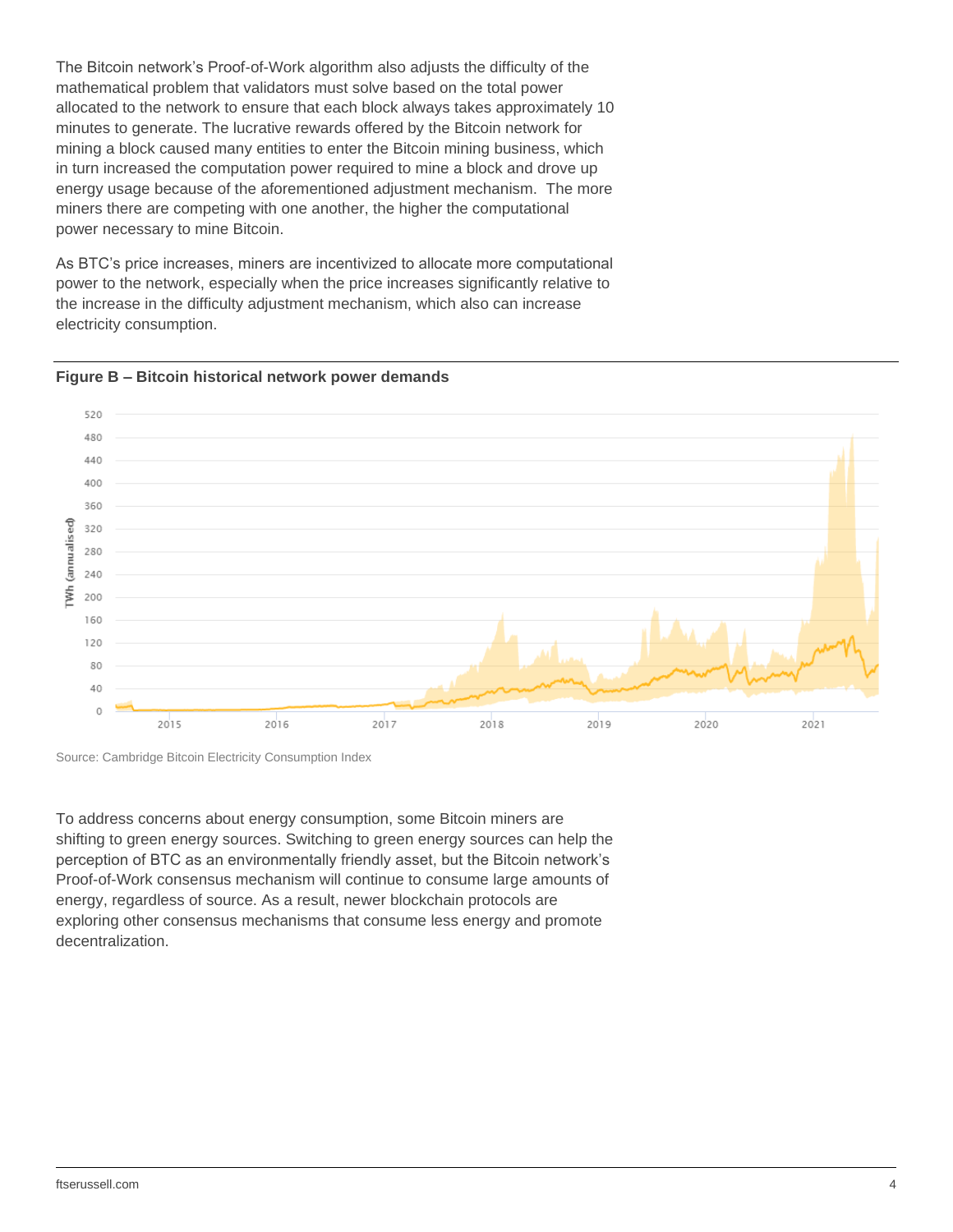The Bitcoin network's Proof-of-Work algorithm also adjusts the difficulty of the mathematical problem that validators must solve based on the total power allocated to the network to ensure that each block always takes approximately 10 minutes to generate. The lucrative rewards offered by the Bitcoin network for mining a block caused many entities to enter the Bitcoin mining business, which in turn increased the computation power required to mine a block and drove up energy usage because of the aforementioned adjustment mechanism. The more miners there are competing with one another, the higher the computational power necessary to mine Bitcoin.

As BTC's price increases, miners are incentivized to allocate more computational power to the network, especially when the price increases significantly relative to the increase in the difficulty adjustment mechanism, which also can increase electricity consumption.





To address concerns about energy consumption, some Bitcoin miners are shifting to green energy sources. Switching to green energy sources can help the perception of BTC as an environmentally friendly asset, but the Bitcoin network's Proof-of-Work consensus mechanism will continue to consume large amounts of energy, regardless of source. As a result, newer blockchain protocols are exploring other consensus mechanisms that consume less energy and promote decentralization.

Source: Cambridge Bitcoin Electricity Consumption Index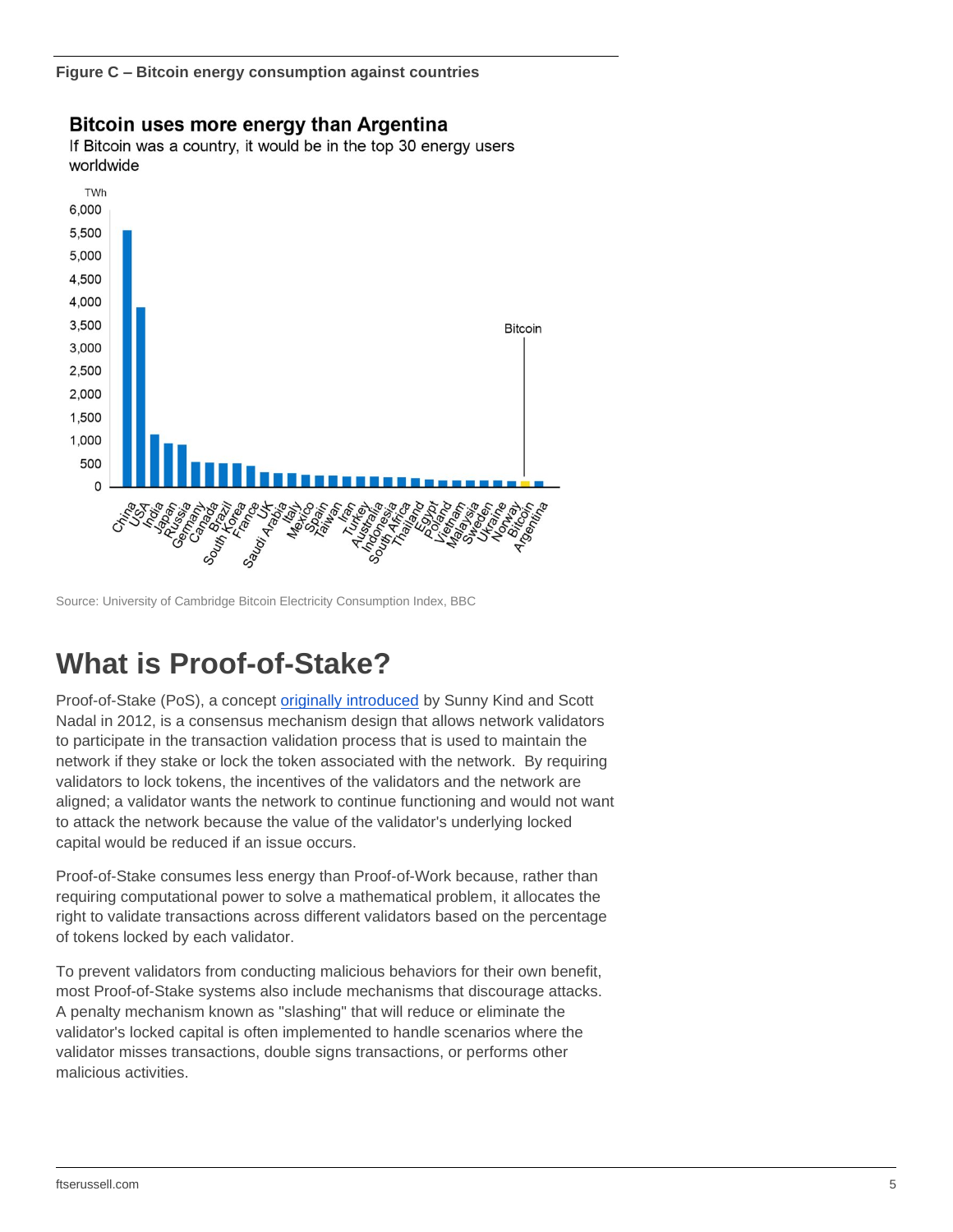**Figure C – Bitcoin energy consumption against countries**



**Bitcoin uses more energy than Argentina** 

If Bitcoin was a country, it would be in the top 30 energy users

Source: University of Cambridge Bitcoin Electricity Consumption Index, BBC

### **What is Proof-of-Stake?**

Proof-of-Stake (PoS), a concept [originally introduced](https://decred.org/research/king2012.pdf) by Sunny Kind and Scott Nadal in 2012, is a consensus mechanism design that allows network validators to participate in the transaction validation process that is used to maintain the network if they stake or lock the token associated with the network. By requiring validators to lock tokens, the incentives of the validators and the network are aligned; a validator wants the network to continue functioning and would not want to attack the network because the value of the validator's underlying locked capital would be reduced if an issue occurs.

Proof-of-Stake consumes less energy than Proof-of-Work because, rather than requiring computational power to solve a mathematical problem, it allocates the right to validate transactions across different validators based on the percentage of tokens locked by each validator.

To prevent validators from conducting malicious behaviors for their own benefit, most Proof-of-Stake systems also include mechanisms that discourage attacks. A penalty mechanism known as "slashing" that will reduce or eliminate the validator's locked capital is often implemented to handle scenarios where the validator misses transactions, double signs transactions, or performs other malicious activities.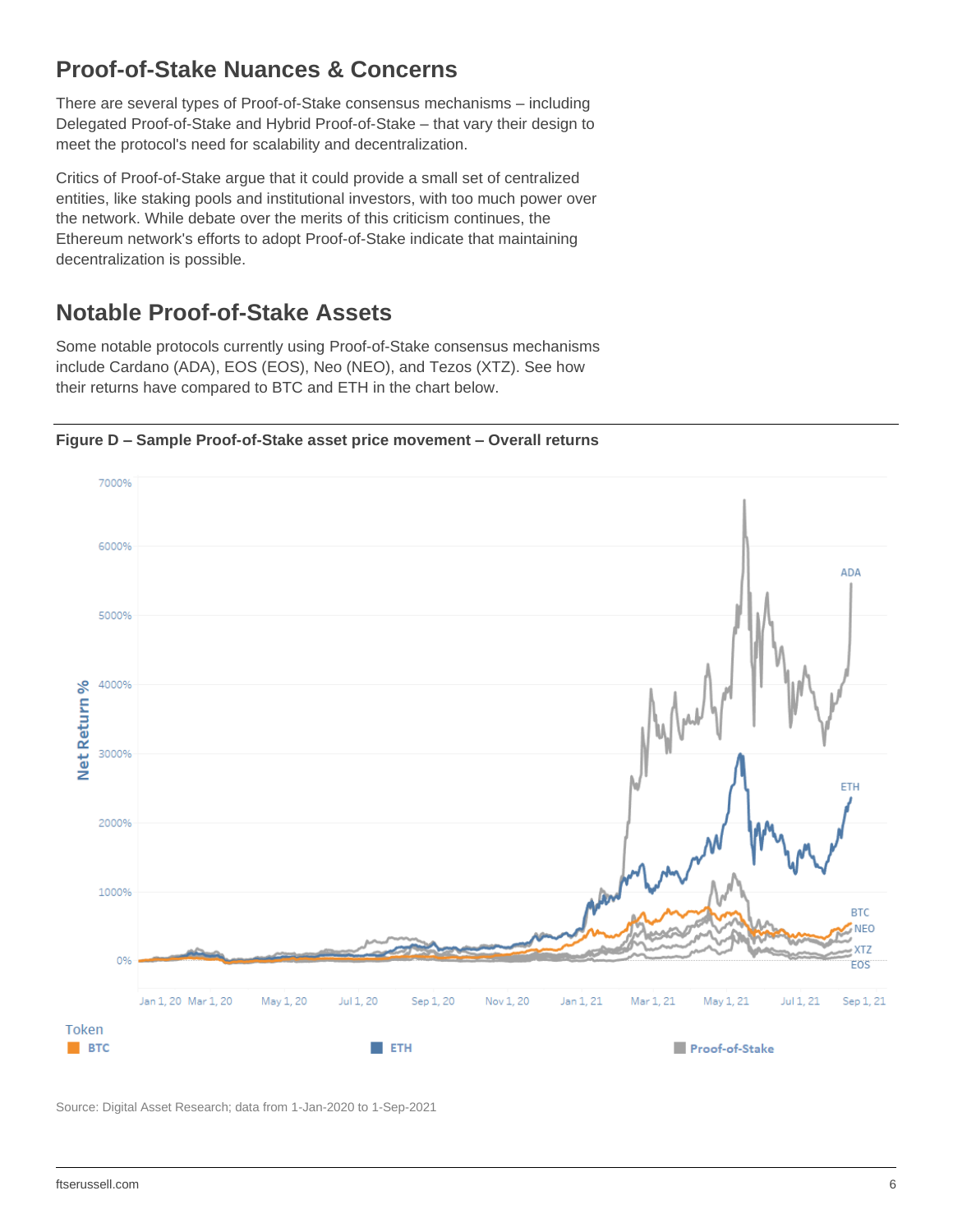### **Proof-of-Stake Nuances & Concerns**

There are several types of Proof-of-Stake consensus mechanisms – including Delegated Proof-of-Stake and Hybrid Proof-of-Stake – that vary their design to meet the protocol's need for scalability and decentralization.

Critics of Proof-of-Stake argue that it could provide a small set of centralized entities, like staking pools and institutional investors, with too much power over the network. While debate over the merits of this criticism continues, the Ethereum network's efforts to adopt Proof-of-Stake indicate that maintaining decentralization is possible.

### **Notable Proof-of-Stake Assets**

Some notable protocols currently using Proof-of-Stake consensus mechanisms include Cardano (ADA), EOS (EOS), Neo (NEO), and Tezos (XTZ). See how their returns have compared to BTC and ETH in the chart below.

**Figure D – Sample Proof-of-Stake asset price movement – Overall returns**



Source: Digital Asset Research; data from 1-Jan-2020 to 1-Sep-2021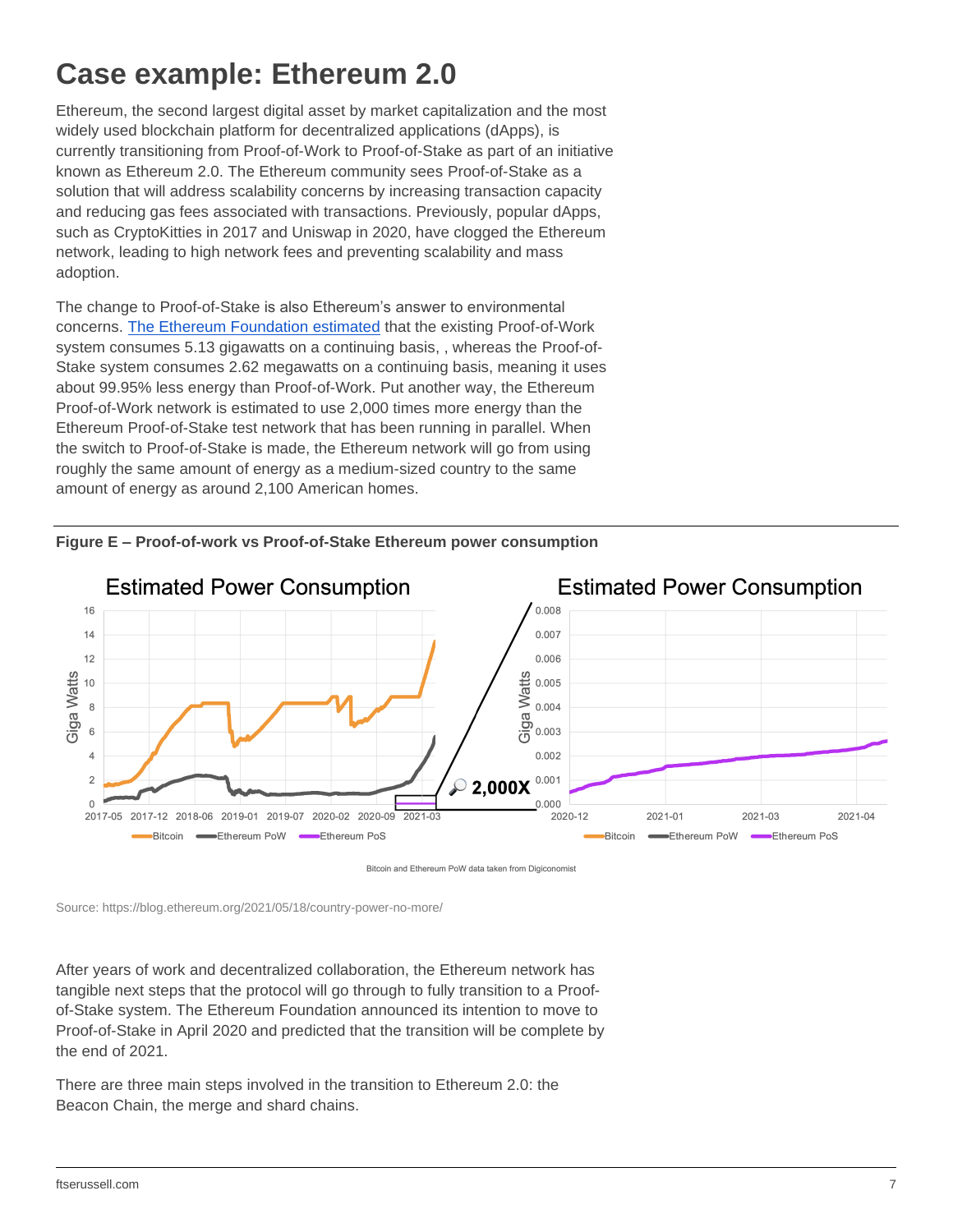## **Case example: Ethereum 2.0**

Ethereum, the second largest digital asset by market capitalization and the most widely used blockchain platform for decentralized applications (dApps), is currently transitioning from Proof-of-Work to Proof-of-Stake as part of an initiative known as Ethereum 2.0. The Ethereum community sees Proof-of-Stake as a solution that will address scalability concerns by increasing transaction capacity and reducing gas fees associated with transactions. Previously, popular dApps, such as CryptoKitties in 2017 and Uniswap in 2020, have clogged the Ethereum network, leading to high network fees and preventing scalability and mass adoption.

The change to Proof-of-Stake is also Ethereum's answer to environmental concerns. [The Ethereum Foundation estimated](https://blog.ethereum.org/2021/05/18/country-power-no-more/) that the existing Proof-of-Work system consumes 5.13 gigawatts on a continuing basis, , whereas the Proof-of-Stake system consumes 2.62 megawatts on a continuing basis, meaning it uses about 99.95% less energy than Proof-of-Work. Put another way, the Ethereum Proof-of-Work network is estimated to use 2,000 times more energy than the Ethereum Proof-of-Stake test network that has been running in parallel. When the switch to Proof-of-Stake is made, the Ethereum network will go from using roughly the same amount of energy as a medium-sized country to the same amount of energy as around 2,100 American homes.





Bitcoin and Ethereum PoW data taken from Digiconomist

Source: https://blog.ethereum.org/2021/05/18/country-power-no-more/

After years of work and decentralized collaboration, the Ethereum network has tangible next steps that the protocol will go through to fully transition to a Proofof-Stake system. The Ethereum Foundation announced its intention to move to Proof-of-Stake in April 2020 and predicted that the transition will be complete by the end of 2021.

There are three main steps involved in the transition to Ethereum 2.0: the Beacon Chain, the merge and shard chains.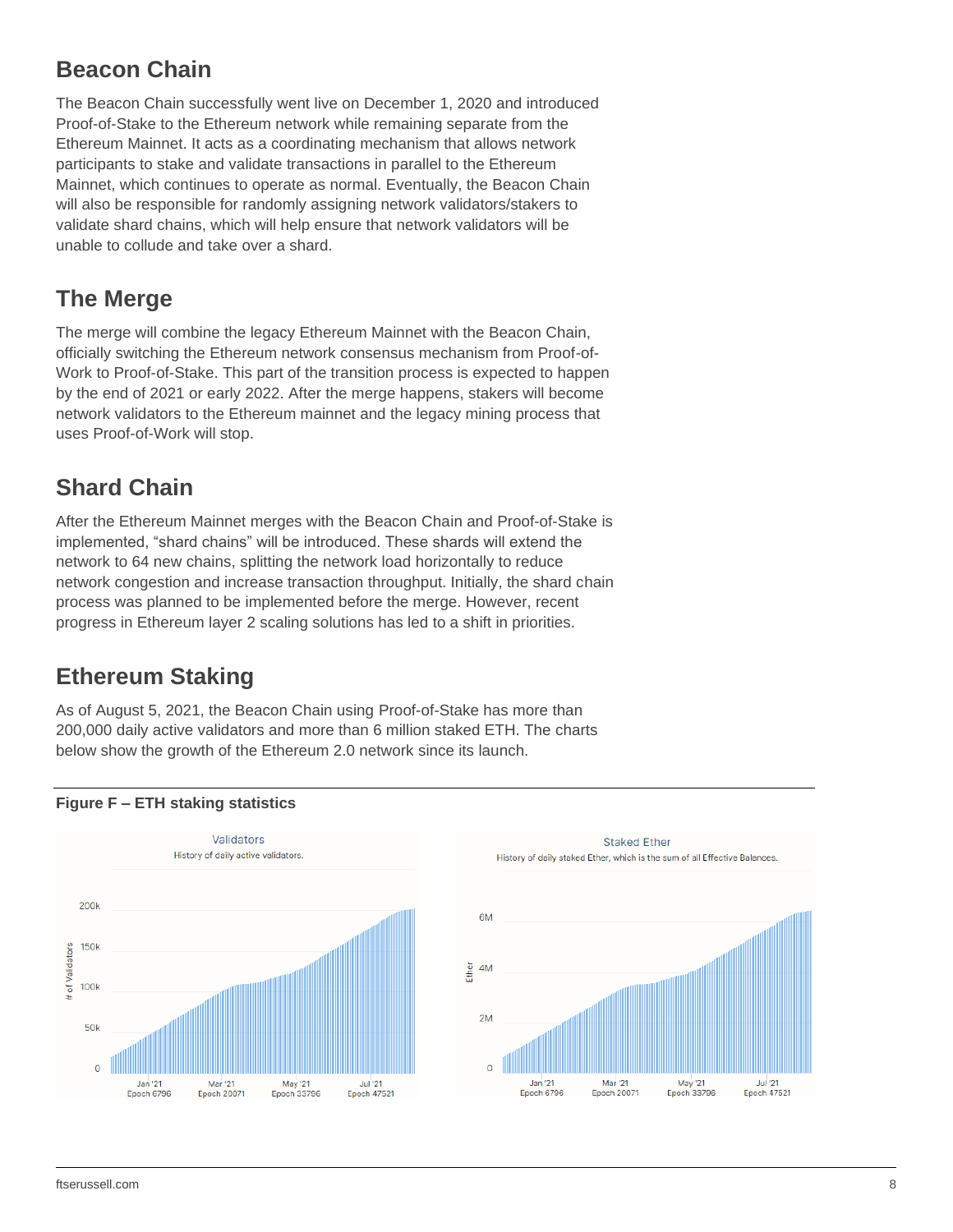### **Beacon Chain**

The Beacon Chain successfully went live on December 1, 2020 and introduced Proof-of-Stake to the Ethereum network while remaining separate from the Ethereum Mainnet. It acts as a coordinating mechanism that allows network participants to stake and validate transactions in parallel to the Ethereum Mainnet, which continues to operate as normal. Eventually, the Beacon Chain will also be responsible for randomly assigning network validators/stakers to validate shard chains, which will help ensure that network validators will be unable to collude and take over a shard.

#### **The Merge**

The merge will combine the legacy Ethereum Mainnet with the Beacon Chain, officially switching the Ethereum network consensus mechanism from Proof-of-Work to Proof-of-Stake. This part of the transition process is expected to happen by the end of 2021 or early 2022. After the merge happens, stakers will become network validators to the Ethereum mainnet and the legacy mining process that uses Proof-of-Work will stop.

### **Shard Chain**

After the Ethereum Mainnet merges with the Beacon Chain and Proof-of-Stake is implemented, "shard chains" will be introduced. These shards will extend the network to 64 new chains, splitting the network load horizontally to reduce network congestion and increase transaction throughput. Initially, the shard chain process was planned to be implemented before the merge. However, recent progress in Ethereum layer 2 scaling solutions has led to a shift in priorities.

### **Ethereum Staking**

As of August 5, 2021, the Beacon Chain using Proof-of-Stake has more than 200,000 daily active validators and more than 6 million staked ETH. The charts below show the growth of the Ethereum 2.0 network since its launch.





#### **Figure F – ETH staking statistics**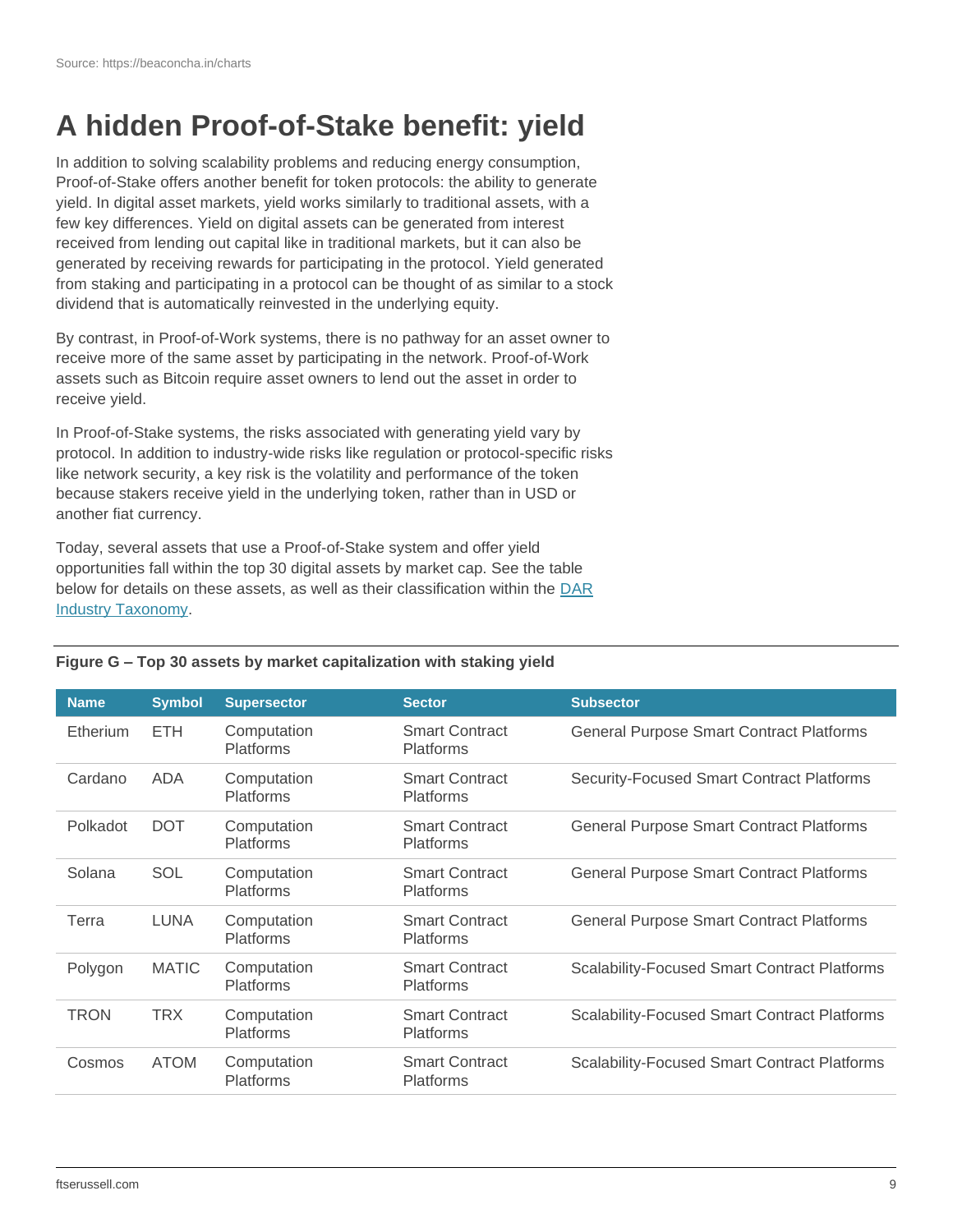## **A hidden Proof-of-Stake benefit: yield**

In addition to solving scalability problems and reducing energy consumption, Proof-of-Stake offers another benefit for token protocols: the ability to generate yield. In digital asset markets, yield works similarly to traditional assets, with a few key differences. Yield on digital assets can be generated from interest received from lending out capital like in traditional markets, but it can also be generated by receiving rewards for participating in the protocol. Yield generated from staking and participating in a protocol can be thought of as similar to a stock dividend that is automatically reinvested in the underlying equity.

By contrast, in Proof-of-Work systems, there is no pathway for an asset owner to receive more of the same asset by participating in the network. Proof-of-Work assets such as Bitcoin require asset owners to lend out the asset in order to receive yield.

In Proof-of-Stake systems, the risks associated with generating yield vary by protocol. In addition to industry-wide risks like regulation or protocol-specific risks like network security, a key risk is the volatility and performance of the token because stakers receive yield in the underlying token, rather than in USD or another fiat currency.

Today, several assets that use a Proof-of-Stake system and offer yield opportunities fall within the top 30 digital assets by market cap. See the table below for details on these assets, as well as their classification within the DAR [Industry Taxonomy.](https://www.digitalassetresearch.com/industry-taxonomy/)

| <b>Name</b>     | <b>Symbol</b> | <b>Supersector</b>              | <b>Sector</b>                             | <b>Subsector</b>                                    |
|-----------------|---------------|---------------------------------|-------------------------------------------|-----------------------------------------------------|
| <b>Etherium</b> | ETH.          | Computation<br><b>Platforms</b> | <b>Smart Contract</b><br><b>Platforms</b> | <b>General Purpose Smart Contract Platforms</b>     |
| Cardano         | <b>ADA</b>    | Computation<br><b>Platforms</b> | <b>Smart Contract</b><br><b>Platforms</b> | <b>Security-Focused Smart Contract Platforms</b>    |
| Polkadot        | <b>DOT</b>    | Computation<br><b>Platforms</b> | <b>Smart Contract</b><br><b>Platforms</b> | <b>General Purpose Smart Contract Platforms</b>     |
| Solana          | SOL           | Computation<br><b>Platforms</b> | <b>Smart Contract</b><br><b>Platforms</b> | <b>General Purpose Smart Contract Platforms</b>     |
| Terra           | <b>LUNA</b>   | Computation<br><b>Platforms</b> | <b>Smart Contract</b><br><b>Platforms</b> | <b>General Purpose Smart Contract Platforms</b>     |
| Polygon         | <b>MATIC</b>  | Computation<br><b>Platforms</b> | <b>Smart Contract</b><br><b>Platforms</b> | <b>Scalability-Focused Smart Contract Platforms</b> |
| <b>TRON</b>     | <b>TRX</b>    | Computation<br><b>Platforms</b> | <b>Smart Contract</b><br><b>Platforms</b> | <b>Scalability-Focused Smart Contract Platforms</b> |
| Cosmos          | <b>ATOM</b>   | Computation<br><b>Platforms</b> | <b>Smart Contract</b><br><b>Platforms</b> | <b>Scalability-Focused Smart Contract Platforms</b> |

#### **Figure G – Top 30 assets by market capitalization with staking yield**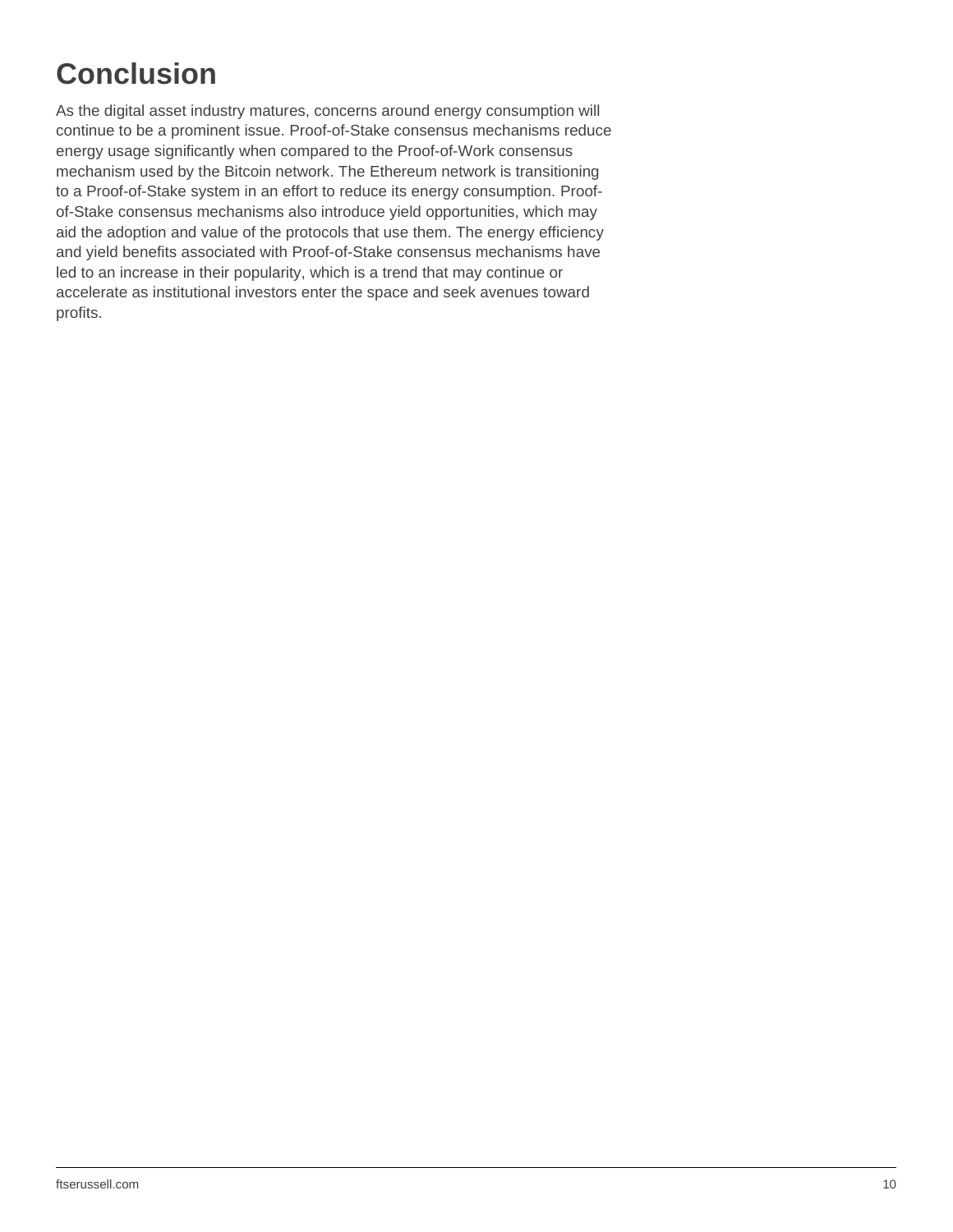## **Conclusion**

As the digital asset industry matures, concerns around energy consumption will continue to be a prominent issue. Proof-of-Stake consensus mechanisms reduce energy usage significantly when compared to the Proof-of-Work consensus mechanism used by the Bitcoin network. The Ethereum network is transitioning to a Proof-of-Stake system in an effort to reduce its energy consumption. Proofof-Stake consensus mechanisms also introduce yield opportunities, which may aid the adoption and value of the protocols that use them. The energy efficiency and yield benefits associated with Proof-of-Stake consensus mechanisms have led to an increase in their popularity, which is a trend that may continue or accelerate as institutional investors enter the space and seek avenues toward profits.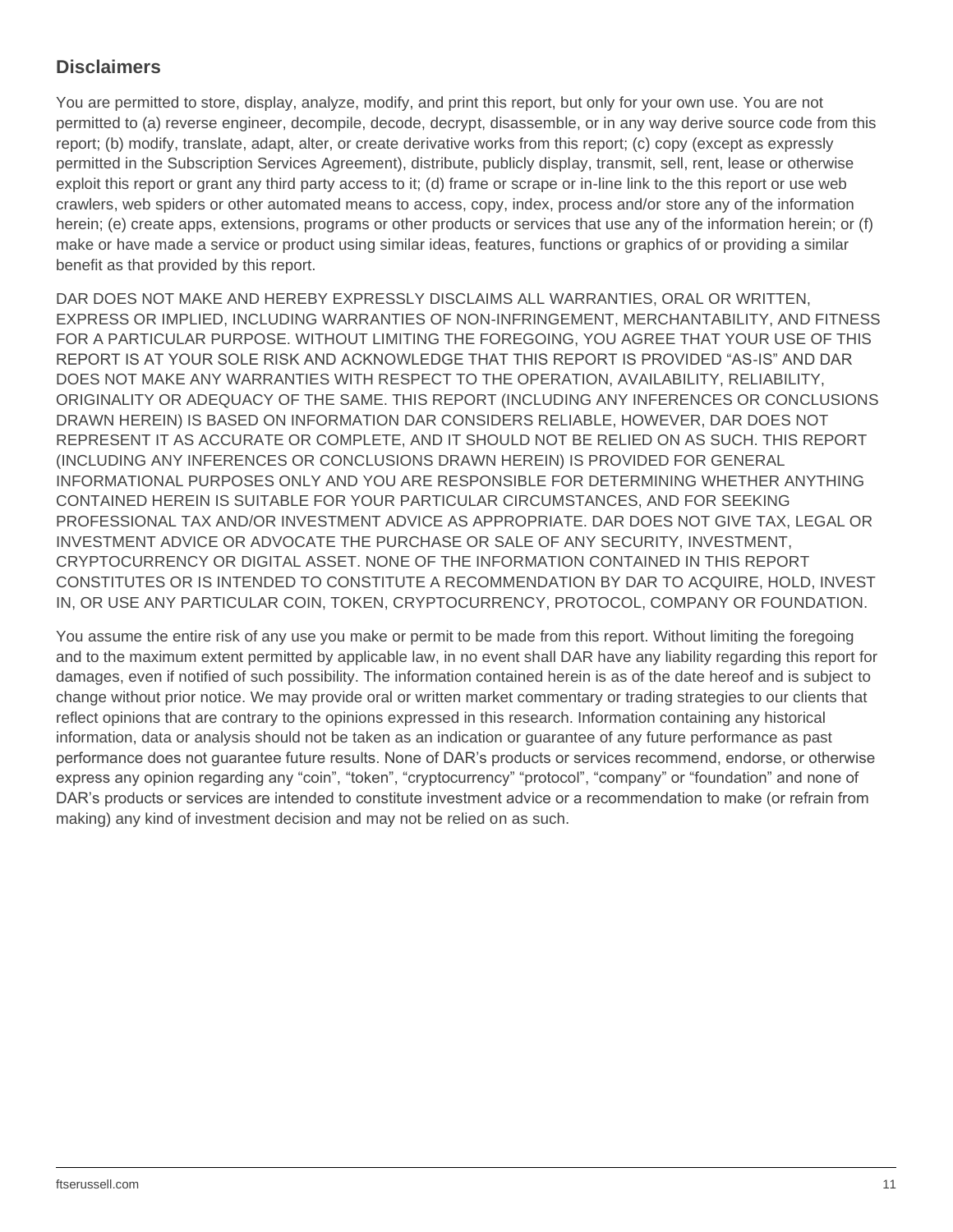#### **Disclaimers**

You are permitted to store, display, analyze, modify, and print this report, but only for your own use. You are not permitted to (a) reverse engineer, decompile, decode, decrypt, disassemble, or in any way derive source code from this report; (b) modify, translate, adapt, alter, or create derivative works from this report; (c) copy (except as expressly permitted in the Subscription Services Agreement), distribute, publicly display, transmit, sell, rent, lease or otherwise exploit this report or grant any third party access to it; (d) frame or scrape or in-line link to the this report or use web crawlers, web spiders or other automated means to access, copy, index, process and/or store any of the information herein; (e) create apps, extensions, programs or other products or services that use any of the information herein; or (f) make or have made a service or product using similar ideas, features, functions or graphics of or providing a similar benefit as that provided by this report.

DAR DOES NOT MAKE AND HEREBY EXPRESSLY DISCLAIMS ALL WARRANTIES, ORAL OR WRITTEN, EXPRESS OR IMPLIED, INCLUDING WARRANTIES OF NON-INFRINGEMENT, MERCHANTABILITY, AND FITNESS FOR A PARTICULAR PURPOSE. WITHOUT LIMITING THE FOREGOING, YOU AGREE THAT YOUR USE OF THIS REPORT IS AT YOUR SOLE RISK AND ACKNOWLEDGE THAT THIS REPORT IS PROVIDED "AS-IS" AND DAR DOES NOT MAKE ANY WARRANTIES WITH RESPECT TO THE OPERATION, AVAILABILITY, RELIABILITY, ORIGINALITY OR ADEQUACY OF THE SAME. THIS REPORT (INCLUDING ANY INFERENCES OR CONCLUSIONS DRAWN HEREIN) IS BASED ON INFORMATION DAR CONSIDERS RELIABLE, HOWEVER, DAR DOES NOT REPRESENT IT AS ACCURATE OR COMPLETE, AND IT SHOULD NOT BE RELIED ON AS SUCH. THIS REPORT (INCLUDING ANY INFERENCES OR CONCLUSIONS DRAWN HEREIN) IS PROVIDED FOR GENERAL INFORMATIONAL PURPOSES ONLY AND YOU ARE RESPONSIBLE FOR DETERMINING WHETHER ANYTHING CONTAINED HEREIN IS SUITABLE FOR YOUR PARTICULAR CIRCUMSTANCES, AND FOR SEEKING PROFESSIONAL TAX AND/OR INVESTMENT ADVICE AS APPROPRIATE. DAR DOES NOT GIVE TAX, LEGAL OR INVESTMENT ADVICE OR ADVOCATE THE PURCHASE OR SALE OF ANY SECURITY, INVESTMENT, CRYPTOCURRENCY OR DIGITAL ASSET. NONE OF THE INFORMATION CONTAINED IN THIS REPORT CONSTITUTES OR IS INTENDED TO CONSTITUTE A RECOMMENDATION BY DAR TO ACQUIRE, HOLD, INVEST IN, OR USE ANY PARTICULAR COIN, TOKEN, CRYPTOCURRENCY, PROTOCOL, COMPANY OR FOUNDATION.

You assume the entire risk of any use you make or permit to be made from this report. Without limiting the foregoing and to the maximum extent permitted by applicable law, in no event shall DAR have any liability regarding this report for damages, even if notified of such possibility. The information contained herein is as of the date hereof and is subject to change without prior notice. We may provide oral or written market commentary or trading strategies to our clients that reflect opinions that are contrary to the opinions expressed in this research. Information containing any historical information, data or analysis should not be taken as an indication or guarantee of any future performance as past performance does not guarantee future results. None of DAR's products or services recommend, endorse, or otherwise express any opinion regarding any "coin", "token", "cryptocurrency" "protocol", "company" or "foundation" and none of DAR's products or services are intended to constitute investment advice or a recommendation to make (or refrain from making) any kind of investment decision and may not be relied on as such.